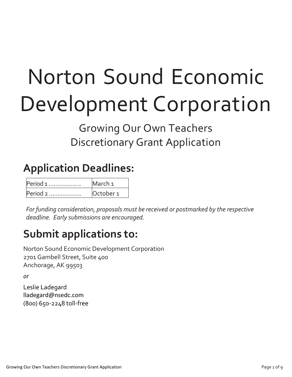# Norton Sound Economic Development Corporation

### Growing Our Own Teachers Discretionary Grant Application

## **Application Deadlines:**

| Period 1 | March <sub>1</sub>   |
|----------|----------------------|
| Period 2 | October <sub>1</sub> |

*For funding consideration, proposals must be received or postmarked by the respective deadline. Early submissions are encouraged.* 

### **Submit applications to:**

Norton Sound Economic Development Corporation 2701 Gambell Street, Suite 400 Anchorage, AK 99503

*or*

Leslie Ladegard lladegard@nsedc.com (800) 650-2248 toll-free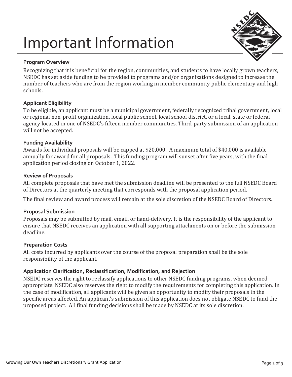## Important Information



#### **Program Overview**

Recognizing that it is beneficial for the region, communities, and students to have locally grown teachers, NSEDC has set aside funding to be provided to programs and/or organizations designed to increase the number of teachers who are from the region working in member community public elementary and high schools.

#### **Applicant Eligibility**

To be eligible, an applicant must be a municipal government, federally recognized tribal government, local or regional non-profit organization, local public school, local school district, or a local, state or federal agency located in one of NSEDC's fifteen member communities. Third-party submission of an application will not be accepted.

#### **Funding Availability**

Awards for individual proposals will be capped at \$20,000. A maximum total of \$40,000 is available annually for award for all proposals. This funding program will sunset after five years, with the final application period closing on October 1, 2022.

#### **Review of Proposals**

All complete proposals that have met the submission deadline will be presented to the full NSEDC Board of Directors at the quarterly meeting that corresponds with the proposal application period.

The final review and award process will remain at the sole discretion of the NSEDC Board of Directors.

#### **Proposal Submission**

Proposals may be submitted by mail, email, or hand-delivery. It is the responsibility of the applicant to ensure that NSEDC receives an application with all supporting attachments on or before the submission deadline.

#### **Preparation Costs**

All costs incurred by applicants over the course of the proposal preparation shall be the sole responsibility of the applicant.

#### **Application Clarification, Reclassification, Modification, and Rejection**

NSEDC reserves the right to reclassify applications to other NSEDC funding programs, when deemed appropriate. NSEDC also reserves the right to modify the requirements for completing this application. In the case of modification, all applicants will be given an opportunity to modify their proposals in the specific areas affected. An applicant's submission of this application does not obligate NSEDC to fund the proposed project. All final funding decisions shall be made by NSEDC at its sole discretion.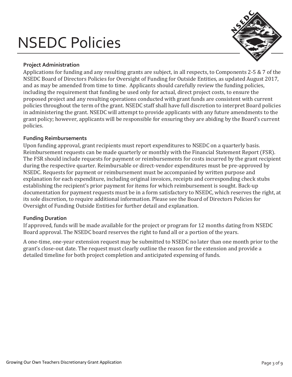## NSEDC Policies



#### **Project Administration**

Applications for funding and any resulting grants are subject, in all respects, to Components 2-5 & 7 of the NSEDC Board of Directors Policies for Oversight of Funding for Outside Entities, as updated August 2017, and as may be amended from time to time. Applicants should carefully review the funding policies, including the requirement that funding be used only for actual, direct project costs, to ensure the proposed project and any resulting operations conducted with grant funds are consistent with current policies throughout the term of the grant. NSEDC staff shall have full discretion to interpret Board policies in administering the grant. NSEDC will attempt to provide applicants with any future amendments to the grant policy; however, applicants will be responsible for ensuring they are abiding by the Board's current policies.

#### **Funding Reimbursements**

Upon funding approval, grant recipients must report expenditures to NSEDC on a quarterly basis. Reimbursement requests can be made quarterly or monthly with the Financial Statement Report (FSR). The FSR should include requests for payment or reimbursements for costs incurred by the grant recipient during the respective quarter. Reimbursable or direct-vendor expenditures must be pre-approved by NSEDC. Requests for payment or reimbursement must be accompanied by written purpose and explanation for each expenditure, including original invoices, receipts and corresponding check stubs establishing the recipient's prior payment for items for which reimbursement is sought. Back-up documentation for payment requests must be in a form satisfactory to NSEDC, which reserves the right, at its sole discretion, to require additional information. Please see the Board of Directors Policies for Oversight of Funding Outside Entities for further detail and explanation.

#### **Funding Duration**

If approved, funds will be made available for the project or program for 12 months dating from NSEDC Board approval. The NSEDC board reserves the right to fund all or a portion of the years.

A one-time, one-year extension request may be submitted to NSEDC no later than one month prior to the grant's close-out date. The request must clearly outline the reason for the extension and provide a detailed timeline for both project completion and anticipated expensing of funds.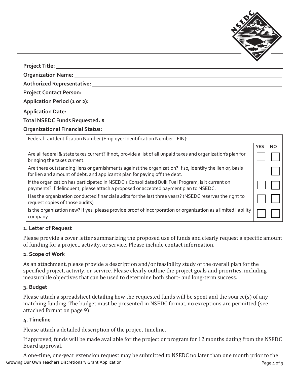

**Project Title:**

**Organization Name:**

**Authorized Representative:** 

**Project Contact Person:** 

**Application Period (1 or 2):** 

**Application Date:** 

**Total NSEDC Funds Requested: \$**

**Organizational Financial Status:**

| Federal Tax Identification Number (Employer Identification Number - EIN):                                                                                                                |            |           |
|------------------------------------------------------------------------------------------------------------------------------------------------------------------------------------------|------------|-----------|
|                                                                                                                                                                                          | <b>YES</b> | <b>NO</b> |
| Are all federal & state taxes current? If not, provide a list of all unpaid taxes and organization's plan for<br>bringing the taxes current.                                             |            |           |
| Are there outstanding liens or garnishments against the organization? If so, identify the lien or, basis<br>for lien and amount of debt, and applicant's plan for paying off the debt.   |            |           |
| If the organization has participated in NSEDC's Consolidated Bulk Fuel Program, is it current on<br>payments? If delinquent, please attach a proposed or accepted payment plan to NSEDC. |            |           |
| Has the organization conducted financial audits for the last three years? (NSEDC reserves the right to<br>request copies of those audits)                                                |            |           |
| Is the organization new? If yes, please provide proof of incorporation or organization as a limited liability<br>company.                                                                |            |           |

#### **1. Letter of Request**

Please provide a cover letter summarizing the proposed use of funds and clearly request a specific amount of funding for a project, activity, or service. Please include contact information.

#### **2. Scope of Work**

As an attachment, please provide a description and/or feasibility study of the overall plan for the specified project, activity, or service. Please clearly outline the project goals and priorities, including measurable objectives that can be used to determine both short- and long-term success.

#### **3. Budget**

Please attach a spreadsheet detailing how the requested funds will be spent and the source(s) of any matching funding. The budget must be presented in NSEDC format, no exceptions are permitted (see attached format on page 9).

#### **4. Timeline**

Please attach a detailed description of the project timeline.

If approved, funds will be made available for the project or program for 12 months dating from the NSEDC Board approval.

Growing Our Own Teachers Discretionary Grant Application example of the state of 9 and 2 of 9 and 2 of 9 and 2 of 9 A one-time, one-year extension request may be submitted to NSEDC no later than one month prior to the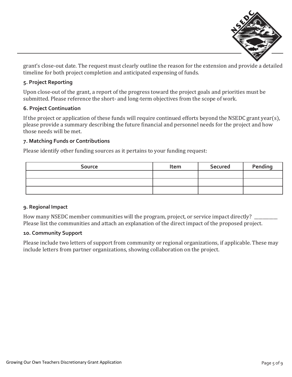

grant's close-out date. The request must clearly outline the reason for the extension and provide a detailed timeline for both project completion and anticipated expensing of funds.

#### **5. Project Reporting**

Upon close-out of the grant, a report of the progress toward the project goals and priorities must be submitted. Please reference the short- and long-term objectives from the scope of work.

#### **6. Project Continuation**

If the project or application of these funds will require continued efforts beyond the NSEDC grant year(s), please provide a summary describing the future financial and personnel needs for the project and how those needs will be met.

#### **7. Matching Funds or Contributions**

Please identify other funding sources as it pertains to your funding request:

| <b>Source</b> | Item | <b>Secured</b> | Pending |  |  |
|---------------|------|----------------|---------|--|--|
|               |      |                |         |  |  |
|               |      |                |         |  |  |
|               |      |                |         |  |  |

#### **9. Regional Impact**

How many NSEDC member communities will the program, project, or service impact directly? Please list the communities and attach an explanation of the direct impact of the proposed project.

#### **10. Community Support**

Please include two letters of support from community or regional organizations, if applicable. These may include letters from partner organizations, showing collaboration on the project.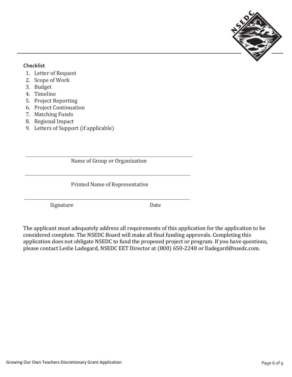

#### **Checklist**

- 1. Letter of Request
- 2. Scope of Work
- 3. Budget
- 4. Timeline
- 5. Project Reporting
- 6. Project Continuation
- 7. Matching Funds
- 8. Regional Impact
- 9. Letters of Support (if applicable)

Name of Group or Organization

Printed Name of Representative

Signature Date

The applicant must adequately address all requirements of this application for the application to be considered complete. The NSEDC Board will make all final funding approvals. Completing this application does not obligate NSEDC to fund the proposed project or program. If you have questions, please contact Leslie Ladegard, NSEDC EET Director at (800) 650-2248 or lladegard@nsedc.com.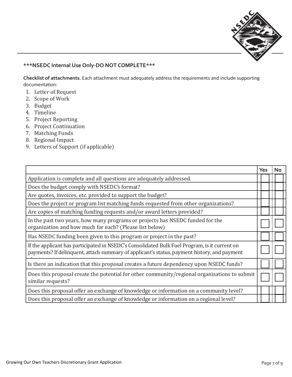

#### **\*\*\*NSEDC Internal Use Only-DO NOT COMPLETE\*\*\***

**Checklist of attachments**. Each attachment must adequately address the requirements and include supporting documentation:

- 1. Letter of Request
- 2. Scope of Work
- 3. Budget
- 4. Timeline
- 5. Project Reporting
- 6. Project Continuation
- 7. Matching Funds
- 8. Regional Impact
- 9. Letters of Support (if applicable)

|                                                                                                                                                                                              |  | Yes |  | No |  |
|----------------------------------------------------------------------------------------------------------------------------------------------------------------------------------------------|--|-----|--|----|--|
| Application is complete and all questions are adequately addressed.                                                                                                                          |  |     |  |    |  |
| Does the budget comply with NSEDC's format?                                                                                                                                                  |  |     |  |    |  |
| Are quotes, invoices, etc. provided to support the budget?                                                                                                                                   |  |     |  |    |  |
| Does the project or program list matching funds requested from other organizations?                                                                                                          |  |     |  |    |  |
| Are copies of matching funding requests and/or award letters provided?                                                                                                                       |  |     |  |    |  |
| In the past two years, how many programs or projects has NSEDC funded for the<br>organization and how much for each? (Please list below)                                                     |  |     |  |    |  |
| Has NSEDC funding been given to this program or project in the past?                                                                                                                         |  |     |  |    |  |
| If the applicant has participated in NSEDC's Consolidated Bulk Fuel Program, is it current on<br>payments? If delinguent, attach summary of applicant's status, payment history, and payment |  |     |  |    |  |
| Is there an indication that this proposal creates a future dependency upon NSEDC funds?                                                                                                      |  |     |  |    |  |
| Does this proposal create the potential for other community/regional organizations to submit<br>similar requests?                                                                            |  |     |  |    |  |
| Does this proposal offer an exchange of knowledge or information on a community level?                                                                                                       |  |     |  |    |  |
| Does this proposal offer an exchange of knowledge or information on a regional level?                                                                                                        |  |     |  |    |  |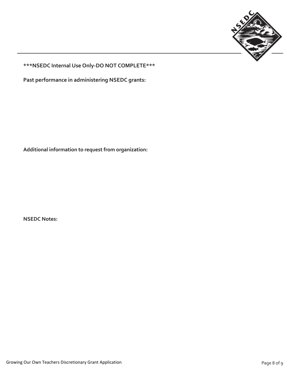

**\*\*\*NSEDC Internal Use Only-DO NOT COMPLETE\*\*\***

**Past performance in administering NSEDC grants:**

**Additional information to request from organization:**

**NSEDC Notes:**